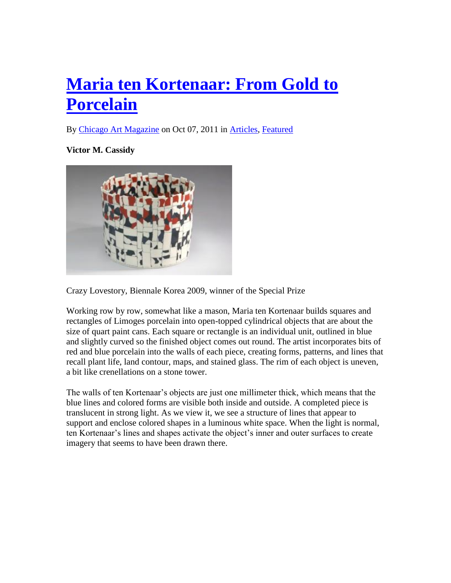## **[Maria ten Kortenaar: From Gold to](http://chicagoartmagazine.com/2011/10/maria-ten-kortenaar-from-gold-to-porcelain/)  [Porcelain](http://chicagoartmagazine.com/2011/10/maria-ten-kortenaar-from-gold-to-porcelain/)**

By [Chicago Art Magazine](http://chicagoartmagazine.com/author/chicago-art-magazine/) on Oct 07, 2011 in [Articles,](http://chicagoartmagazine.com/category/articles/) [Featured](http://chicagoartmagazine.com/category/featured/)

**Victor M. Cassidy**



Crazy Lovestory, Biennale Korea 2009, winner of the Special Prize

Working row by row, somewhat like a mason, Maria ten Kortenaar builds squares and rectangles of Limoges porcelain into open-topped cylindrical objects that are about the size of quart paint cans. Each square or rectangle is an individual unit, outlined in blue and slightly curved so the finished object comes out round. The artist incorporates bits of red and blue porcelain into the walls of each piece, creating forms, patterns, and lines that recall plant life, land contour, maps, and stained glass. The rim of each object is uneven, a bit like crenellations on a stone tower.

The walls of ten Kortenaar's objects are just one millimeter thick, which means that the blue lines and colored forms are visible both inside and outside. A completed piece is translucent in strong light. As we view it, we see a structure of lines that appear to support and enclose colored shapes in a luminous white space. When the light is normal, ten Kortenaar's lines and shapes activate the object's inner and outer surfaces to create imagery that seems to have been drawn there.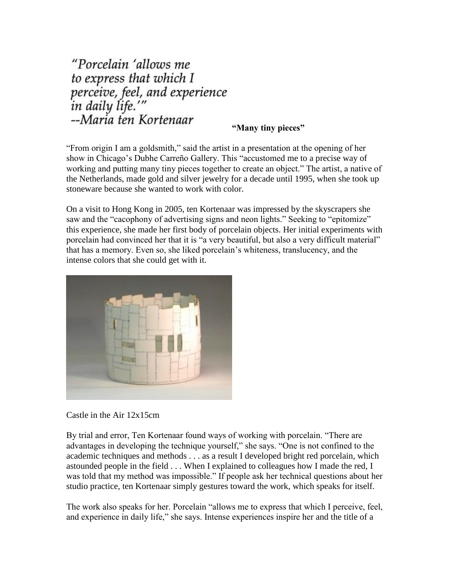"Porcelain 'allows me to express that which I perceive, feel, and experience<br>in daily life.'" --Maria ten Kortenaar

## **"Many tiny pieces"**

"From origin I am a goldsmith," said the artist in a presentation at the opening of her show in Chicago's Dubhe Carreño Gallery. This "accustomed me to a precise way of working and putting many tiny pieces together to create an object." The artist, a native of the Netherlands, made gold and silver jewelry for a decade until 1995, when she took up stoneware because she wanted to work with color.

On a visit to Hong Kong in 2005, ten Kortenaar was impressed by the skyscrapers she saw and the "cacophony of advertising signs and neon lights." Seeking to "epitomize" this experience, she made her first body of porcelain objects. Her initial experiments with porcelain had convinced her that it is "a very beautiful, but also a very difficult material" that has a memory. Even so, she liked porcelain's whiteness, translucency, and the intense colors that she could get with it.



Castle in the Air 12x15cm

By trial and error, Ten Kortenaar found ways of working with porcelain. "There are advantages in developing the technique yourself," she says. "One is not confined to the academic techniques and methods . . . as a result I developed bright red porcelain, which astounded people in the field . . . When I explained to colleagues how I made the red, I was told that my method was impossible." If people ask her technical questions about her studio practice, ten Kortenaar simply gestures toward the work, which speaks for itself.

The work also speaks for her. Porcelain "allows me to express that which I perceive, feel, and experience in daily life," she says. Intense experiences inspire her and the title of a